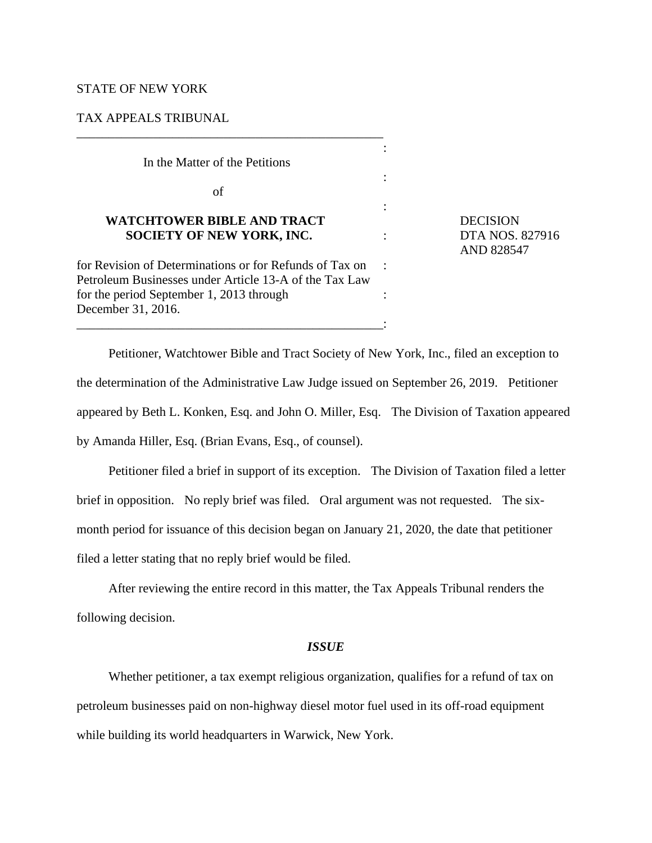# STATE OF NEW YORK

## TAX APPEALS TRIBUNAL

In the Matter of the Petitions

\_\_\_\_\_\_\_\_\_\_\_\_\_\_\_\_\_\_\_\_\_\_\_\_\_\_\_\_\_\_\_\_\_\_\_\_\_\_\_\_\_\_\_\_\_\_\_\_

of

# **WATCHTOWER BIBLE AND TRACT DECISION SOCIETY OF NEW YORK, INC.** : DTA NOS. 827916

for Revision of Determinations or for Refunds of Tax on : Petroleum Businesses under Article 13-A of the Tax Law for the period September 1, 2013 through : December 31, 2016. \_\_\_\_\_\_\_\_\_\_\_\_\_\_\_\_\_\_\_\_\_\_\_\_\_\_\_\_\_\_\_\_\_\_\_\_\_\_\_\_\_\_\_\_\_\_\_\_:

AND 828547

Petitioner, Watchtower Bible and Tract Society of New York, Inc., filed an exception to the determination of the Administrative Law Judge issued on September 26, 2019. Petitioner appeared by Beth L. Konken, Esq. and John O. Miller, Esq. The Division of Taxation appeared by Amanda Hiller, Esq. (Brian Evans, Esq., of counsel).

:

:

:

Petitioner filed a brief in support of its exception. The Division of Taxation filed a letter brief in opposition. No reply brief was filed. Oral argument was not requested. The sixmonth period for issuance of this decision began on January 21, 2020, the date that petitioner filed a letter stating that no reply brief would be filed.

After reviewing the entire record in this matter, the Tax Appeals Tribunal renders the following decision.

#### *ISSUE*

Whether petitioner, a tax exempt religious organization, qualifies for a refund of tax on petroleum businesses paid on non-highway diesel motor fuel used in its off-road equipment while building its world headquarters in Warwick, New York.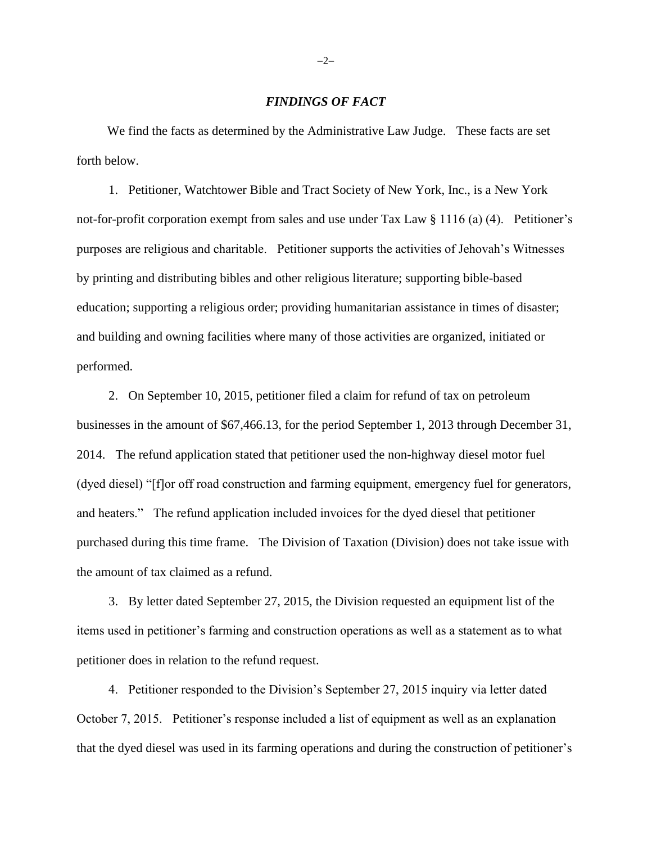### *FINDINGS OF FACT*

 We find the facts as determined by the Administrative Law Judge. These facts are set forth below.

1. Petitioner, Watchtower Bible and Tract Society of New York, Inc., is a New York not-for-profit corporation exempt from sales and use under Tax Law § 1116 (a) (4). Petitioner's purposes are religious and charitable. Petitioner supports the activities of Jehovah's Witnesses by printing and distributing bibles and other religious literature; supporting bible-based education; supporting a religious order; providing humanitarian assistance in times of disaster; and building and owning facilities where many of those activities are organized, initiated or performed.

2. On September 10, 2015, petitioner filed a claim for refund of tax on petroleum businesses in the amount of \$67,466.13, for the period September 1, 2013 through December 31, 2014. The refund application stated that petitioner used the non-highway diesel motor fuel (dyed diesel) "[f]or off road construction and farming equipment, emergency fuel for generators, and heaters." The refund application included invoices for the dyed diesel that petitioner purchased during this time frame. The Division of Taxation (Division) does not take issue with the amount of tax claimed as a refund.

3. By letter dated September 27, 2015, the Division requested an equipment list of the items used in petitioner's farming and construction operations as well as a statement as to what petitioner does in relation to the refund request.

4. Petitioner responded to the Division's September 27, 2015 inquiry via letter dated October 7, 2015. Petitioner's response included a list of equipment as well as an explanation that the dyed diesel was used in its farming operations and during the construction of petitioner's

−2−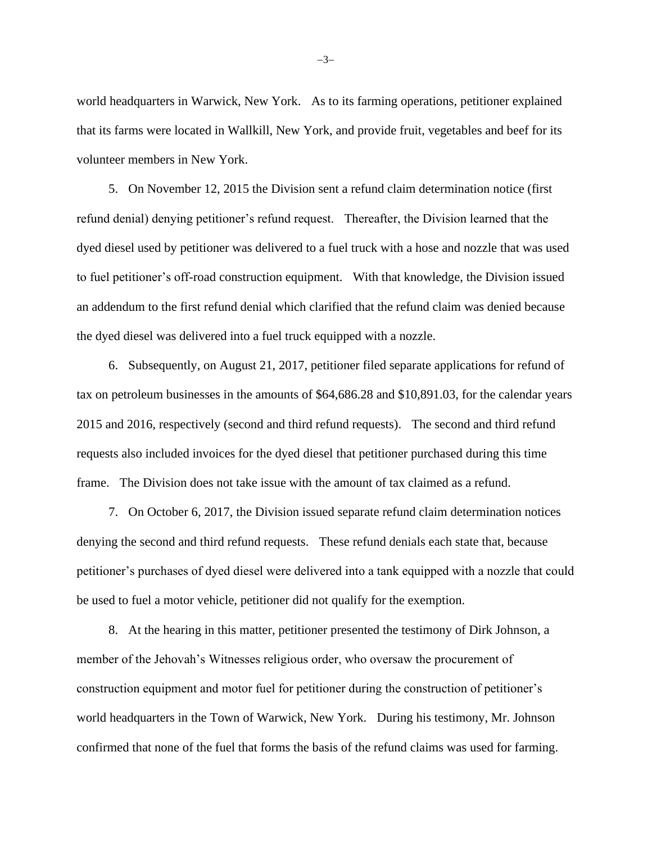world headquarters in Warwick, New York. As to its farming operations, petitioner explained that its farms were located in Wallkill, New York, and provide fruit, vegetables and beef for its volunteer members in New York.

5. On November 12, 2015 the Division sent a refund claim determination notice (first refund denial) denying petitioner's refund request. Thereafter, the Division learned that the dyed diesel used by petitioner was delivered to a fuel truck with a hose and nozzle that was used to fuel petitioner's off-road construction equipment. With that knowledge, the Division issued an addendum to the first refund denial which clarified that the refund claim was denied because the dyed diesel was delivered into a fuel truck equipped with a nozzle.

6. Subsequently, on August 21, 2017, petitioner filed separate applications for refund of tax on petroleum businesses in the amounts of \$64,686.28 and \$10,891.03, for the calendar years 2015 and 2016, respectively (second and third refund requests). The second and third refund requests also included invoices for the dyed diesel that petitioner purchased during this time frame. The Division does not take issue with the amount of tax claimed as a refund.

7. On October 6, 2017, the Division issued separate refund claim determination notices denying the second and third refund requests. These refund denials each state that, because petitioner's purchases of dyed diesel were delivered into a tank equipped with a nozzle that could be used to fuel a motor vehicle, petitioner did not qualify for the exemption.

8. At the hearing in this matter, petitioner presented the testimony of Dirk Johnson, a member of the Jehovah's Witnesses religious order, who oversaw the procurement of construction equipment and motor fuel for petitioner during the construction of petitioner's world headquarters in the Town of Warwick, New York. During his testimony, Mr. Johnson confirmed that none of the fuel that forms the basis of the refund claims was used for farming.

−3−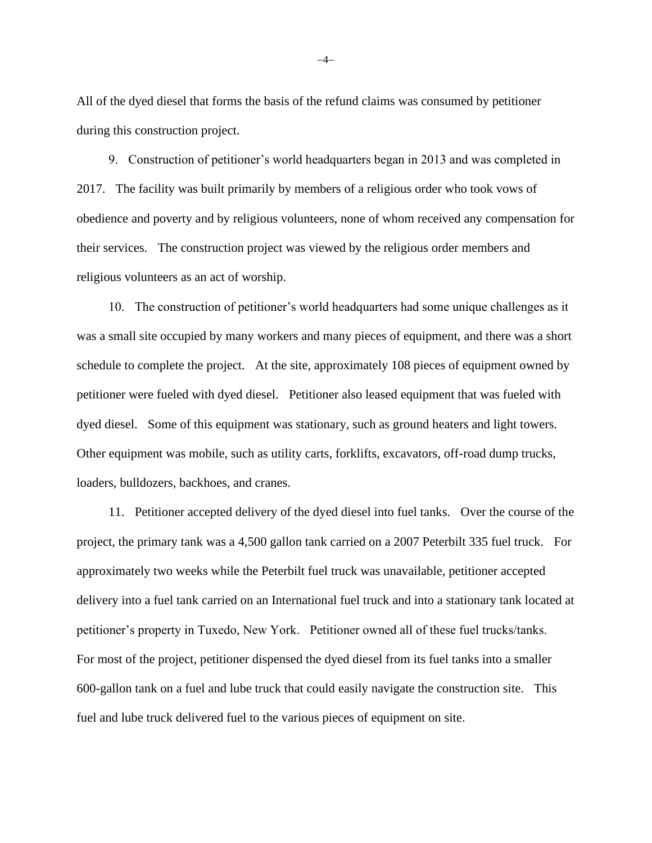All of the dyed diesel that forms the basis of the refund claims was consumed by petitioner during this construction project.

9. Construction of petitioner's world headquarters began in 2013 and was completed in 2017. The facility was built primarily by members of a religious order who took vows of obedience and poverty and by religious volunteers, none of whom received any compensation for their services. The construction project was viewed by the religious order members and religious volunteers as an act of worship.

10. The construction of petitioner's world headquarters had some unique challenges as it was a small site occupied by many workers and many pieces of equipment, and there was a short schedule to complete the project. At the site, approximately 108 pieces of equipment owned by petitioner were fueled with dyed diesel. Petitioner also leased equipment that was fueled with dyed diesel. Some of this equipment was stationary, such as ground heaters and light towers. Other equipment was mobile, such as utility carts, forklifts, excavators, off-road dump trucks, loaders, bulldozers, backhoes, and cranes.

11. Petitioner accepted delivery of the dyed diesel into fuel tanks. Over the course of the project, the primary tank was a 4,500 gallon tank carried on a 2007 Peterbilt 335 fuel truck. For approximately two weeks while the Peterbilt fuel truck was unavailable, petitioner accepted delivery into a fuel tank carried on an International fuel truck and into a stationary tank located at petitioner's property in Tuxedo, New York. Petitioner owned all of these fuel trucks/tanks. For most of the project, petitioner dispensed the dyed diesel from its fuel tanks into a smaller 600-gallon tank on a fuel and lube truck that could easily navigate the construction site. This fuel and lube truck delivered fuel to the various pieces of equipment on site.

−4−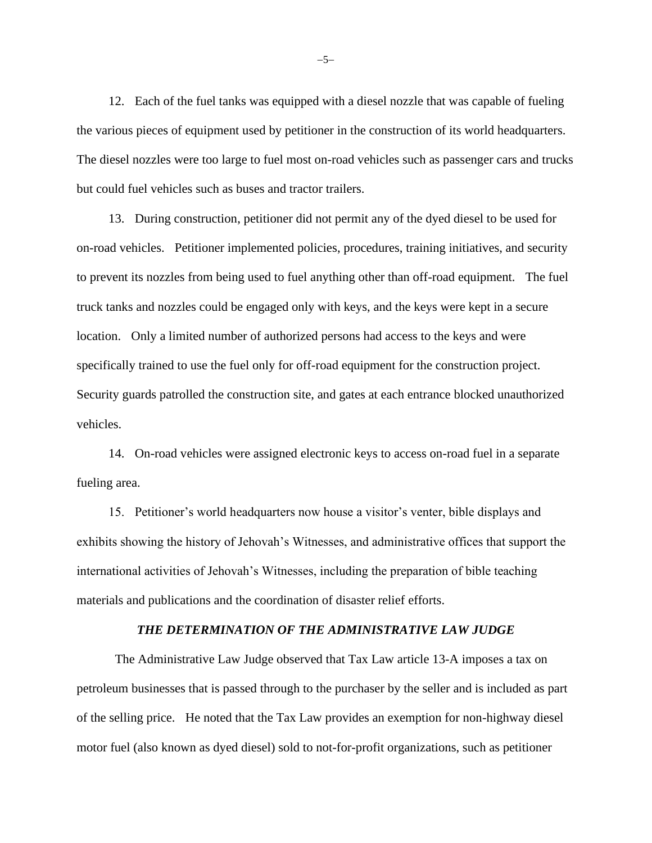12. Each of the fuel tanks was equipped with a diesel nozzle that was capable of fueling the various pieces of equipment used by petitioner in the construction of its world headquarters. The diesel nozzles were too large to fuel most on-road vehicles such as passenger cars and trucks but could fuel vehicles such as buses and tractor trailers.

13. During construction, petitioner did not permit any of the dyed diesel to be used for on-road vehicles. Petitioner implemented policies, procedures, training initiatives, and security to prevent its nozzles from being used to fuel anything other than off-road equipment. The fuel truck tanks and nozzles could be engaged only with keys, and the keys were kept in a secure location. Only a limited number of authorized persons had access to the keys and were specifically trained to use the fuel only for off-road equipment for the construction project. Security guards patrolled the construction site, and gates at each entrance blocked unauthorized vehicles.

14. On-road vehicles were assigned electronic keys to access on-road fuel in a separate fueling area.

15. Petitioner's world headquarters now house a visitor's venter, bible displays and exhibits showing the history of Jehovah's Witnesses, and administrative offices that support the international activities of Jehovah's Witnesses, including the preparation of bible teaching materials and publications and the coordination of disaster relief efforts.

### *THE DETERMINATION OF THE ADMINISTRATIVE LAW JUDGE*

The Administrative Law Judge observed that Tax Law article 13-A imposes a tax on petroleum businesses that is passed through to the purchaser by the seller and is included as part of the selling price. He noted that the Tax Law provides an exemption for non-highway diesel motor fuel (also known as dyed diesel) sold to not-for-profit organizations, such as petitioner

−5−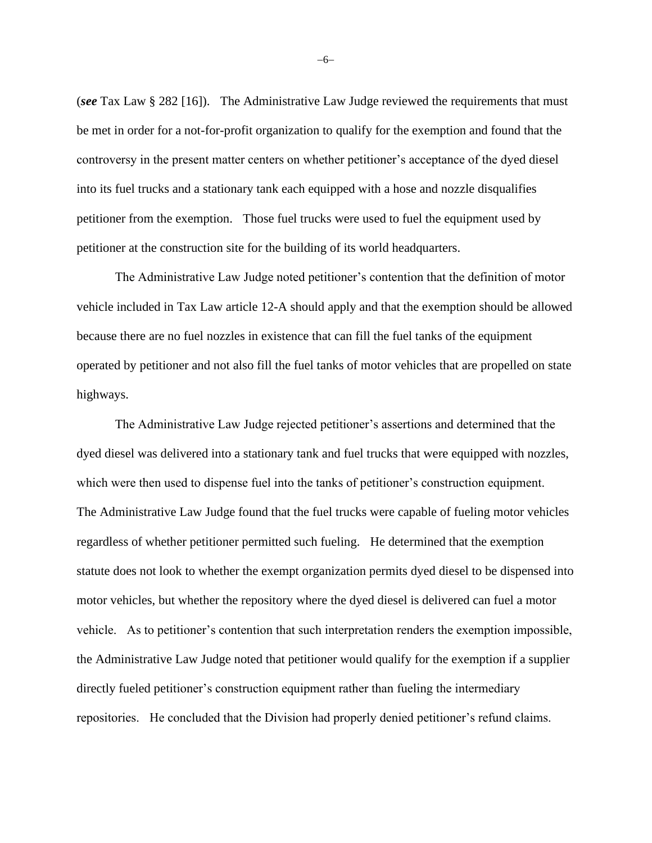(*see* Tax Law § 282 [16]). The Administrative Law Judge reviewed the requirements that must be met in order for a not-for-profit organization to qualify for the exemption and found that the controversy in the present matter centers on whether petitioner's acceptance of the dyed diesel into its fuel trucks and a stationary tank each equipped with a hose and nozzle disqualifies petitioner from the exemption. Those fuel trucks were used to fuel the equipment used by petitioner at the construction site for the building of its world headquarters.

The Administrative Law Judge noted petitioner's contention that the definition of motor vehicle included in Tax Law article 12-A should apply and that the exemption should be allowed because there are no fuel nozzles in existence that can fill the fuel tanks of the equipment operated by petitioner and not also fill the fuel tanks of motor vehicles that are propelled on state highways.

The Administrative Law Judge rejected petitioner's assertions and determined that the dyed diesel was delivered into a stationary tank and fuel trucks that were equipped with nozzles, which were then used to dispense fuel into the tanks of petitioner's construction equipment. The Administrative Law Judge found that the fuel trucks were capable of fueling motor vehicles regardless of whether petitioner permitted such fueling. He determined that the exemption statute does not look to whether the exempt organization permits dyed diesel to be dispensed into motor vehicles, but whether the repository where the dyed diesel is delivered can fuel a motor vehicle. As to petitioner's contention that such interpretation renders the exemption impossible, the Administrative Law Judge noted that petitioner would qualify for the exemption if a supplier directly fueled petitioner's construction equipment rather than fueling the intermediary repositories. He concluded that the Division had properly denied petitioner's refund claims.

−6−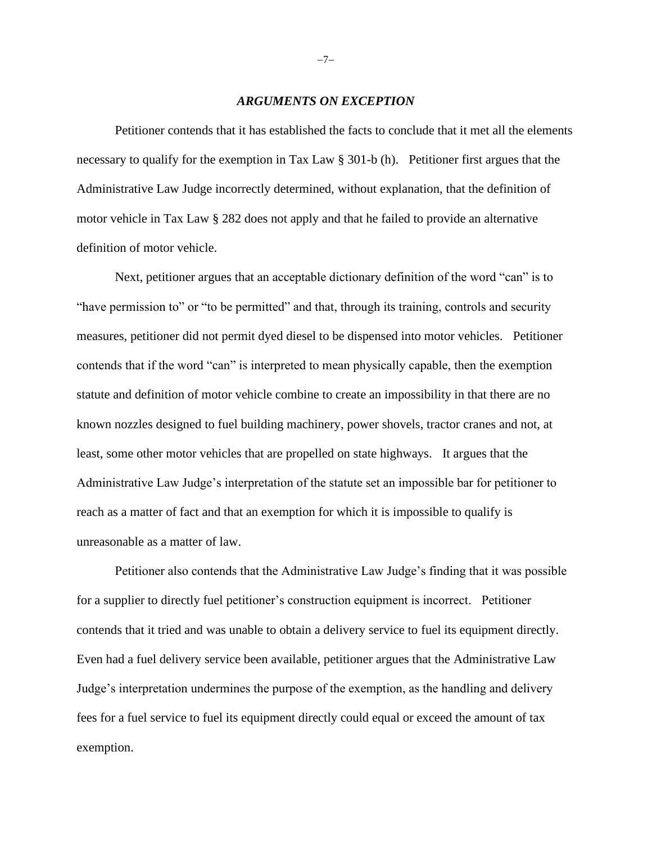#### *ARGUMENTS ON EXCEPTION*

Petitioner contends that it has established the facts to conclude that it met all the elements necessary to qualify for the exemption in Tax Law § 301-b (h). Petitioner first argues that the Administrative Law Judge incorrectly determined, without explanation, that the definition of motor vehicle in Tax Law § 282 does not apply and that he failed to provide an alternative definition of motor vehicle.

Next, petitioner argues that an acceptable dictionary definition of the word "can" is to "have permission to" or "to be permitted" and that, through its training, controls and security measures, petitioner did not permit dyed diesel to be dispensed into motor vehicles. Petitioner contends that if the word "can" is interpreted to mean physically capable, then the exemption statute and definition of motor vehicle combine to create an impossibility in that there are no known nozzles designed to fuel building machinery, power shovels, tractor cranes and not, at least, some other motor vehicles that are propelled on state highways. It argues that the Administrative Law Judge's interpretation of the statute set an impossible bar for petitioner to reach as a matter of fact and that an exemption for which it is impossible to qualify is unreasonable as a matter of law.

Petitioner also contends that the Administrative Law Judge's finding that it was possible for a supplier to directly fuel petitioner's construction equipment is incorrect. Petitioner contends that it tried and was unable to obtain a delivery service to fuel its equipment directly. Even had a fuel delivery service been available, petitioner argues that the Administrative Law Judge's interpretation undermines the purpose of the exemption, as the handling and delivery fees for a fuel service to fuel its equipment directly could equal or exceed the amount of tax exemption.

−7−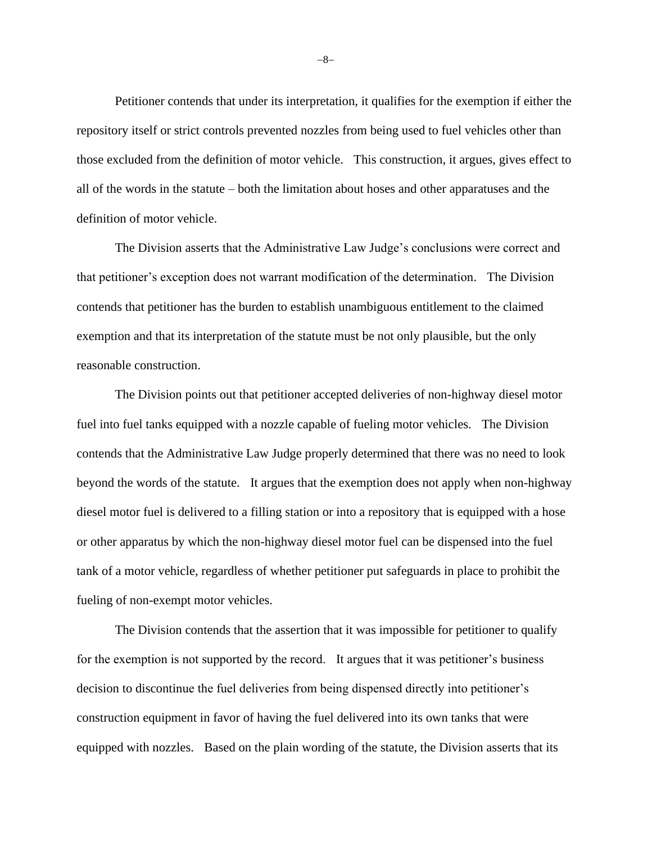Petitioner contends that under its interpretation, it qualifies for the exemption if either the repository itself or strict controls prevented nozzles from being used to fuel vehicles other than those excluded from the definition of motor vehicle. This construction, it argues, gives effect to all of the words in the statute – both the limitation about hoses and other apparatuses and the definition of motor vehicle.

The Division asserts that the Administrative Law Judge's conclusions were correct and that petitioner's exception does not warrant modification of the determination. The Division contends that petitioner has the burden to establish unambiguous entitlement to the claimed exemption and that its interpretation of the statute must be not only plausible, but the only reasonable construction.

The Division points out that petitioner accepted deliveries of non-highway diesel motor fuel into fuel tanks equipped with a nozzle capable of fueling motor vehicles. The Division contends that the Administrative Law Judge properly determined that there was no need to look beyond the words of the statute. It argues that the exemption does not apply when non-highway diesel motor fuel is delivered to a filling station or into a repository that is equipped with a hose or other apparatus by which the non-highway diesel motor fuel can be dispensed into the fuel tank of a motor vehicle, regardless of whether petitioner put safeguards in place to prohibit the fueling of non-exempt motor vehicles.

The Division contends that the assertion that it was impossible for petitioner to qualify for the exemption is not supported by the record. It argues that it was petitioner's business decision to discontinue the fuel deliveries from being dispensed directly into petitioner's construction equipment in favor of having the fuel delivered into its own tanks that were equipped with nozzles. Based on the plain wording of the statute, the Division asserts that its

−8−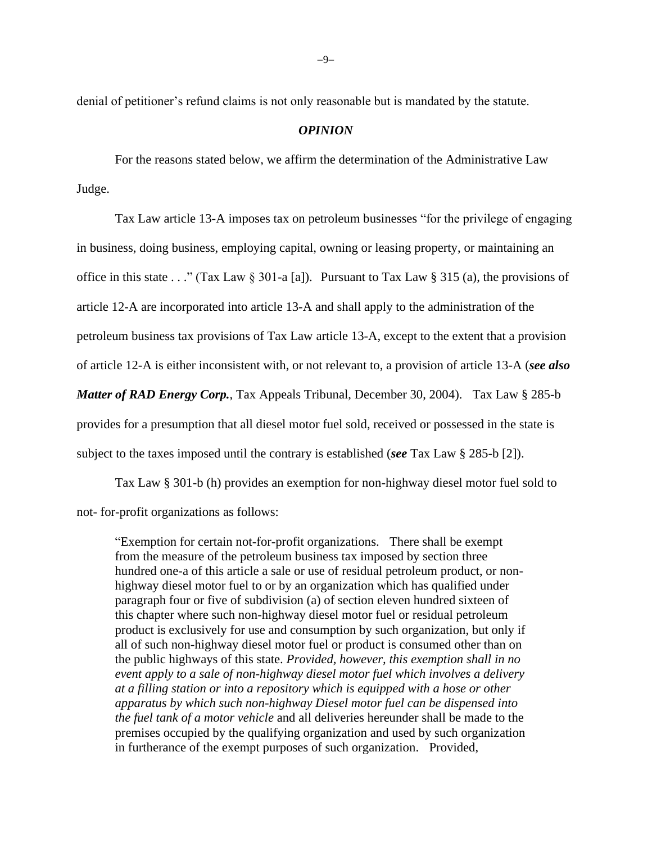denial of petitioner's refund claims is not only reasonable but is mandated by the statute.

### *OPINION*

For the reasons stated below, we affirm the determination of the Administrative Law Judge.

Tax Law article 13-A imposes tax on petroleum businesses "for the privilege of engaging in business, doing business, employing capital, owning or leasing property, or maintaining an office in this state . . ." (Tax Law  $\S 301-a$  [a]). Pursuant to Tax Law  $\S 315$  (a), the provisions of article 12-A are incorporated into article 13-A and shall apply to the administration of the petroleum business tax provisions of Tax Law article 13-A, except to the extent that a provision of article 12-A is either inconsistent with, or not relevant to, a provision of article 13-A (*see also Matter of RAD Energy Corp.*, Tax Appeals Tribunal, December 30, 2004). Tax Law § 285-b provides for a presumption that all diesel motor fuel sold, received or possessed in the state is subject to the taxes imposed until the contrary is established (*see* Tax Law § 285-b [2]).

Tax Law § 301-b (h) provides an exemption for non-highway diesel motor fuel sold to not- for-profit organizations as follows:

"Exemption for certain not-for-profit organizations. There shall be exempt from the measure of the petroleum business tax imposed by section three hundred one-a of this article a sale or use of residual petroleum product, or nonhighway diesel motor fuel to or by an organization which has qualified under paragraph four or five of subdivision (a) of section eleven hundred sixteen of this chapter where such non-highway diesel motor fuel or residual petroleum product is exclusively for use and consumption by such organization, but only if all of such non-highway diesel motor fuel or product is consumed other than on the public highways of this state. *Provided, however, this exemption shall in no event apply to a sale of non-highway diesel motor fuel which involves a delivery at a filling station or into a repository which is equipped with a hose or other apparatus by which such non-highway Diesel motor fuel can be dispensed into the fuel tank of a motor vehicle* and all deliveries hereunder shall be made to the premises occupied by the qualifying organization and used by such organization in furtherance of the exempt purposes of such organization. Provided,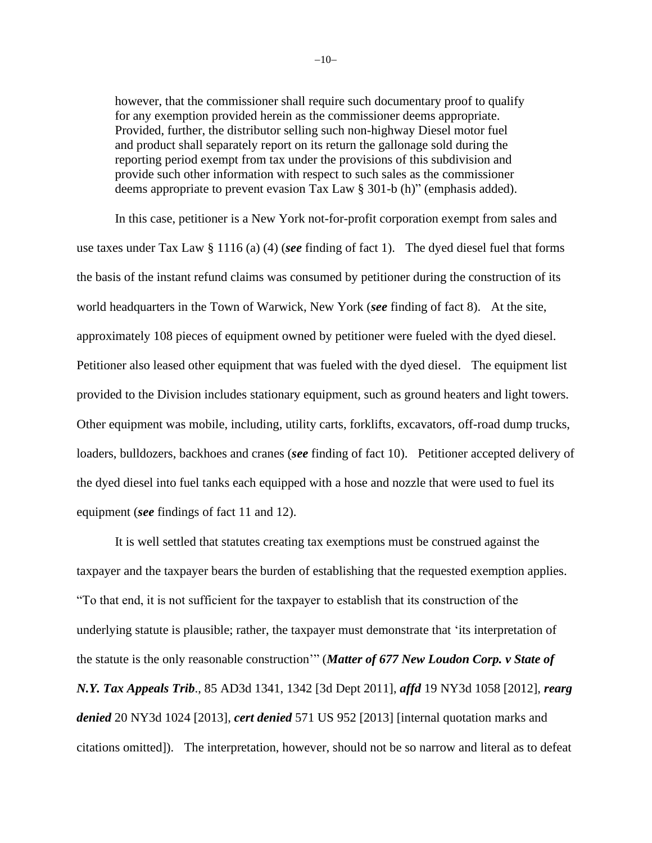however, that the commissioner shall require such documentary proof to qualify for any exemption provided herein as the commissioner deems appropriate. Provided, further, the distributor selling such non-highway Diesel motor fuel and product shall separately report on its return the gallonage sold during the reporting period exempt from tax under the provisions of this subdivision and provide such other information with respect to such sales as the commissioner deems appropriate to prevent evasion Tax Law § 301-b (h)" (emphasis added).

In this case, petitioner is a New York not-for-profit corporation exempt from sales and use taxes under Tax Law § 1116 (a) (4) (*see* finding of fact 1). The dyed diesel fuel that forms the basis of the instant refund claims was consumed by petitioner during the construction of its world headquarters in the Town of Warwick, New York (*see* finding of fact 8). At the site, approximately 108 pieces of equipment owned by petitioner were fueled with the dyed diesel. Petitioner also leased other equipment that was fueled with the dyed diesel. The equipment list provided to the Division includes stationary equipment, such as ground heaters and light towers. Other equipment was mobile, including, utility carts, forklifts, excavators, off-road dump trucks, loaders, bulldozers, backhoes and cranes (*see* finding of fact 10). Petitioner accepted delivery of the dyed diesel into fuel tanks each equipped with a hose and nozzle that were used to fuel its equipment (*see* findings of fact 11 and 12).

It is well settled that statutes creating tax exemptions must be construed against the taxpayer and the taxpayer bears the burden of establishing that the requested exemption applies. "To that end, it is not sufficient for the taxpayer to establish that its construction of the underlying statute is plausible; rather, the taxpayer must demonstrate that 'its interpretation of the statute is the only reasonable construction'" (*Matter of 677 New Loudon Corp. v State of N.Y. Tax Appeals Trib*., 85 AD3d 1341, 1342 [3d Dept 2011], *affd* 19 NY3d 1058 [2012], *rearg denied* 20 NY3d 1024 [2013], *cert denied* 571 US 952 [2013] [internal quotation marks and citations omitted]). The interpretation, however, should not be so narrow and literal as to defeat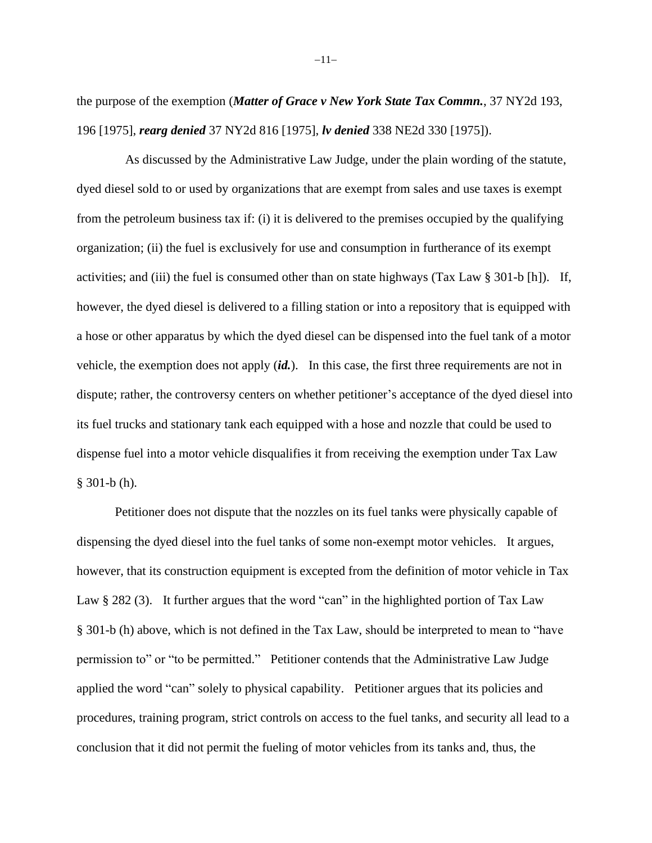the purpose of the exemption (*Matter of Grace v New York State Tax Commn.*, 37 NY2d 193, 196 [1975], *rearg denied* 37 NY2d 816 [1975], *lv denied* 338 NE2d 330 [1975]).

 As discussed by the Administrative Law Judge, under the plain wording of the statute, dyed diesel sold to or used by organizations that are exempt from sales and use taxes is exempt from the petroleum business tax if: (i) it is delivered to the premises occupied by the qualifying organization; (ii) the fuel is exclusively for use and consumption in furtherance of its exempt activities; and (iii) the fuel is consumed other than on state highways (Tax Law  $\S 301-b$  [h]). If, however, the dyed diesel is delivered to a filling station or into a repository that is equipped with a hose or other apparatus by which the dyed diesel can be dispensed into the fuel tank of a motor vehicle, the exemption does not apply (*id.*). In this case, the first three requirements are not in dispute; rather, the controversy centers on whether petitioner's acceptance of the dyed diesel into its fuel trucks and stationary tank each equipped with a hose and nozzle that could be used to dispense fuel into a motor vehicle disqualifies it from receiving the exemption under Tax Law § 301-b (h).

Petitioner does not dispute that the nozzles on its fuel tanks were physically capable of dispensing the dyed diesel into the fuel tanks of some non-exempt motor vehicles. It argues, however, that its construction equipment is excepted from the definition of motor vehicle in Tax Law § 282 (3). It further argues that the word "can" in the highlighted portion of Tax Law § 301-b (h) above, which is not defined in the Tax Law, should be interpreted to mean to "have permission to" or "to be permitted." Petitioner contends that the Administrative Law Judge applied the word "can" solely to physical capability. Petitioner argues that its policies and procedures, training program, strict controls on access to the fuel tanks, and security all lead to a conclusion that it did not permit the fueling of motor vehicles from its tanks and, thus, the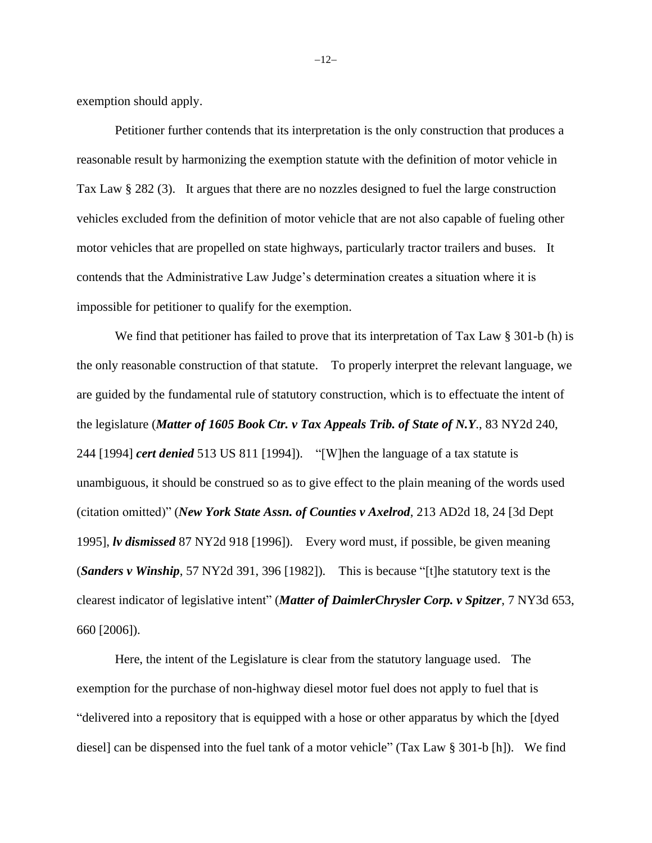exemption should apply.

Petitioner further contends that its interpretation is the only construction that produces a reasonable result by harmonizing the exemption statute with the definition of motor vehicle in Tax Law § 282 (3). It argues that there are no nozzles designed to fuel the large construction vehicles excluded from the definition of motor vehicle that are not also capable of fueling other motor vehicles that are propelled on state highways, particularly tractor trailers and buses. It contends that the Administrative Law Judge's determination creates a situation where it is impossible for petitioner to qualify for the exemption.

We find that petitioner has failed to prove that its interpretation of Tax Law § 301-b (h) is the only reasonable construction of that statute. To properly interpret the relevant language, we are guided by the fundamental rule of statutory construction, which is to effectuate the intent of the legislature (*Matter of 1605 Book Ctr. v Tax Appeals Trib. of State of N.Y*., 83 NY2d 240, 244 [1994] *cert denied* 513 US 811 [1994]). "[W]hen the language of a tax statute is unambiguous, it should be construed so as to give effect to the plain meaning of the words used (citation omitted)" (*New York State Assn. of Counties v Axelrod*, 213 AD2d 18, 24 [3d Dept 1995], *lv dismissed* 87 NY2d 918 [1996]). Every word must, if possible, be given meaning (*Sanders v Winship*, 57 NY2d 391, 396 [1982]). This is because "[t]he statutory text is the clearest indicator of legislative intent" (*Matter of DaimlerChrysler Corp. v Spitzer*, 7 NY3d 653, 660 [2006]).

Here, the intent of the Legislature is clear from the statutory language used. The exemption for the purchase of non-highway diesel motor fuel does not apply to fuel that is "delivered into a repository that is equipped with a hose or other apparatus by which the [dyed diesel] can be dispensed into the fuel tank of a motor vehicle" (Tax Law § 301-b [h]). We find

−12−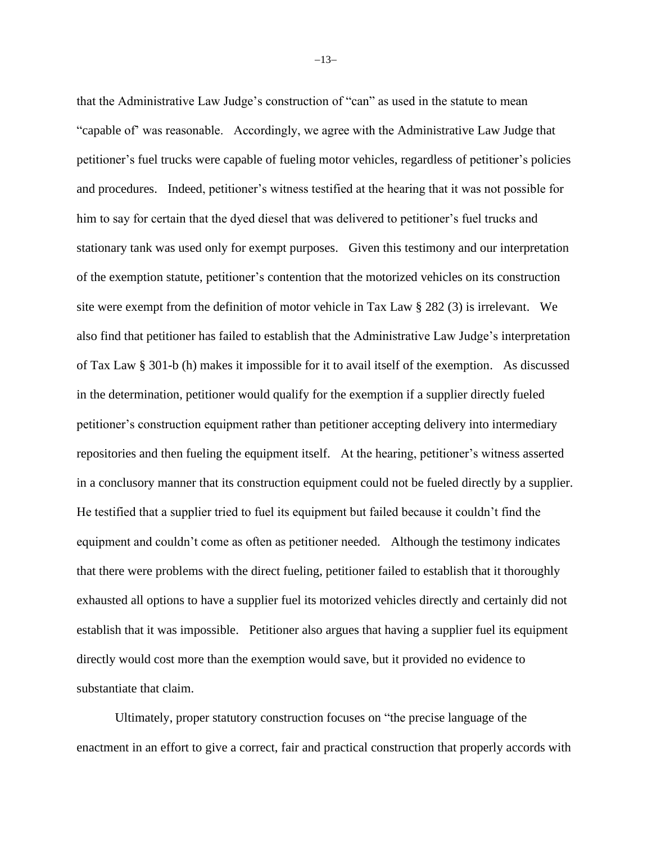that the Administrative Law Judge's construction of "can" as used in the statute to mean "capable of' was reasonable. Accordingly, we agree with the Administrative Law Judge that petitioner's fuel trucks were capable of fueling motor vehicles, regardless of petitioner's policies and procedures. Indeed, petitioner's witness testified at the hearing that it was not possible for him to say for certain that the dyed diesel that was delivered to petitioner's fuel trucks and stationary tank was used only for exempt purposes. Given this testimony and our interpretation of the exemption statute, petitioner's contention that the motorized vehicles on its construction site were exempt from the definition of motor vehicle in Tax Law § 282 (3) is irrelevant. We also find that petitioner has failed to establish that the Administrative Law Judge's interpretation of Tax Law § 301-b (h) makes it impossible for it to avail itself of the exemption. As discussed in the determination, petitioner would qualify for the exemption if a supplier directly fueled petitioner's construction equipment rather than petitioner accepting delivery into intermediary repositories and then fueling the equipment itself. At the hearing, petitioner's witness asserted in a conclusory manner that its construction equipment could not be fueled directly by a supplier. He testified that a supplier tried to fuel its equipment but failed because it couldn't find the equipment and couldn't come as often as petitioner needed. Although the testimony indicates that there were problems with the direct fueling, petitioner failed to establish that it thoroughly exhausted all options to have a supplier fuel its motorized vehicles directly and certainly did not establish that it was impossible. Petitioner also argues that having a supplier fuel its equipment directly would cost more than the exemption would save, but it provided no evidence to substantiate that claim.

Ultimately, proper statutory construction focuses on "the precise language of the enactment in an effort to give a correct, fair and practical construction that properly accords with

−13−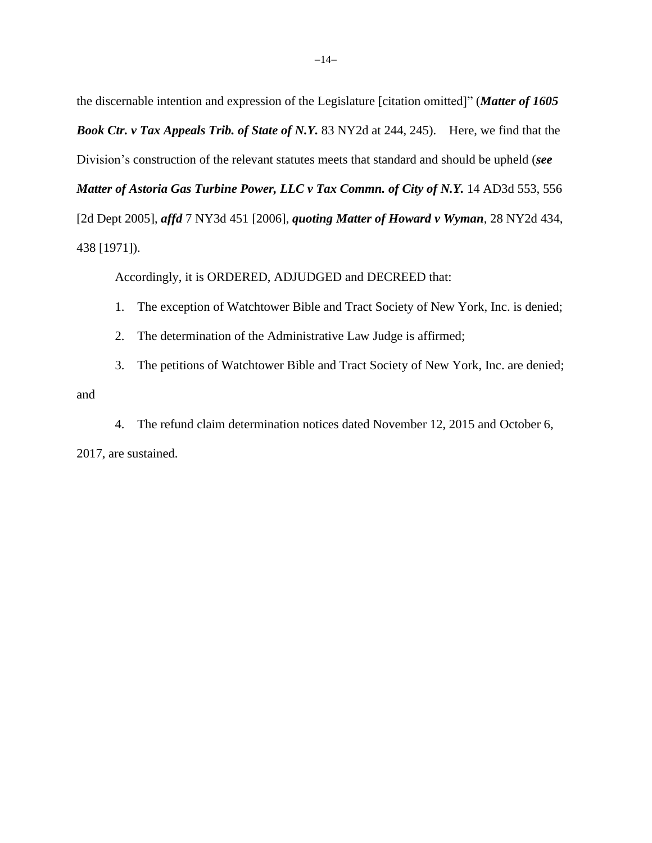the discernable intention and expression of the Legislature [citation omitted]" (*Matter of 1605 Book Ctr. v Tax Appeals Trib. of State of N.Y.* 83 NY2d at 244, 245). Here, we find that the Division's construction of the relevant statutes meets that standard and should be upheld (*see Matter of Astoria Gas Turbine Power, LLC v Tax Commn. of City of N.Y.* 14 AD3d 553, 556 [2d Dept 2005], *affd* 7 NY3d 451 [2006], *quoting Matter of Howard v Wyman*, 28 NY2d 434, 438 [1971]).

Accordingly, it is ORDERED, ADJUDGED and DECREED that:

- 1. The exception of Watchtower Bible and Tract Society of New York, Inc. is denied;
- 2. The determination of the Administrative Law Judge is affirmed;

3. The petitions of Watchtower Bible and Tract Society of New York, Inc. are denied; and

4. The refund claim determination notices dated November 12, 2015 and October 6, 2017, are sustained.